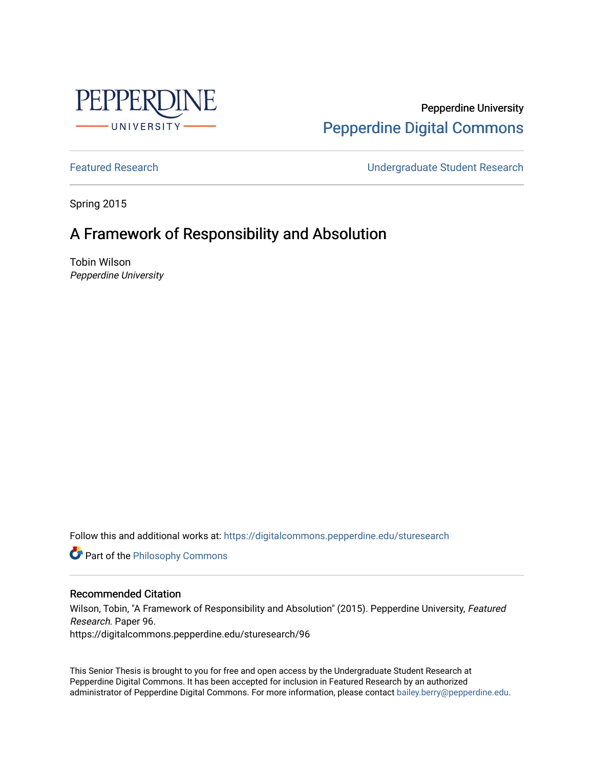

Pepperdine University [Pepperdine Digital Commons](https://digitalcommons.pepperdine.edu/) 

[Featured Research](https://digitalcommons.pepperdine.edu/sturesearch) [Undergraduate Student Research](https://digitalcommons.pepperdine.edu/usr) 

Spring 2015

## A Framework of Responsibility and Absolution

Tobin Wilson Pepperdine University

Follow this and additional works at: [https://digitalcommons.pepperdine.edu/sturesearch](https://digitalcommons.pepperdine.edu/sturesearch?utm_source=digitalcommons.pepperdine.edu%2Fsturesearch%2F96&utm_medium=PDF&utm_campaign=PDFCoverPages)

**Part of the Philosophy Commons** 

## Recommended Citation

Wilson, Tobin, "A Framework of Responsibility and Absolution" (2015). Pepperdine University, Featured Research. Paper 96. https://digitalcommons.pepperdine.edu/sturesearch/96

This Senior Thesis is brought to you for free and open access by the Undergraduate Student Research at Pepperdine Digital Commons. It has been accepted for inclusion in Featured Research by an authorized administrator of Pepperdine Digital Commons. For more information, please contact [bailey.berry@pepperdine.edu](mailto:bailey.berry@pepperdine.edu).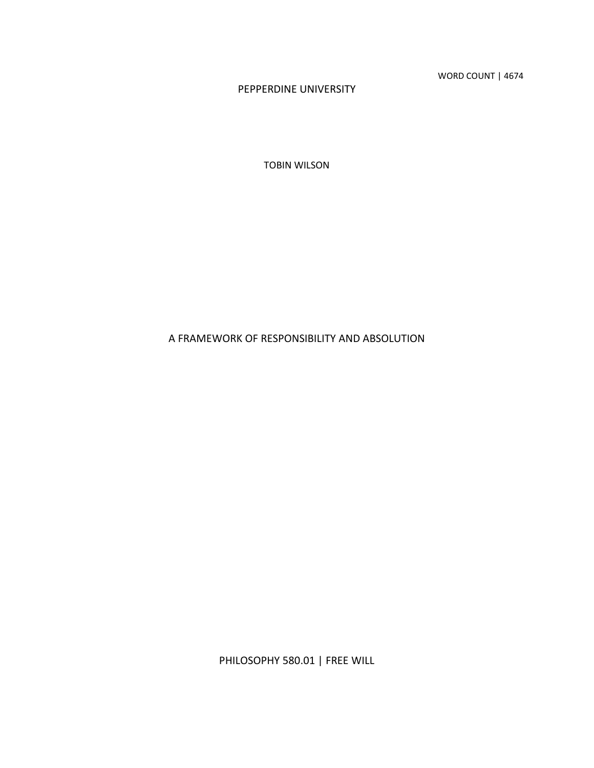WORD COUNT | 4674

PEPPERDINE UNIVERSITY

TOBIN WILSON

A FRAMEWORK OF RESPONSIBILITY AND ABSOLUTION

PHILOSOPHY 580.01 | FREE WILL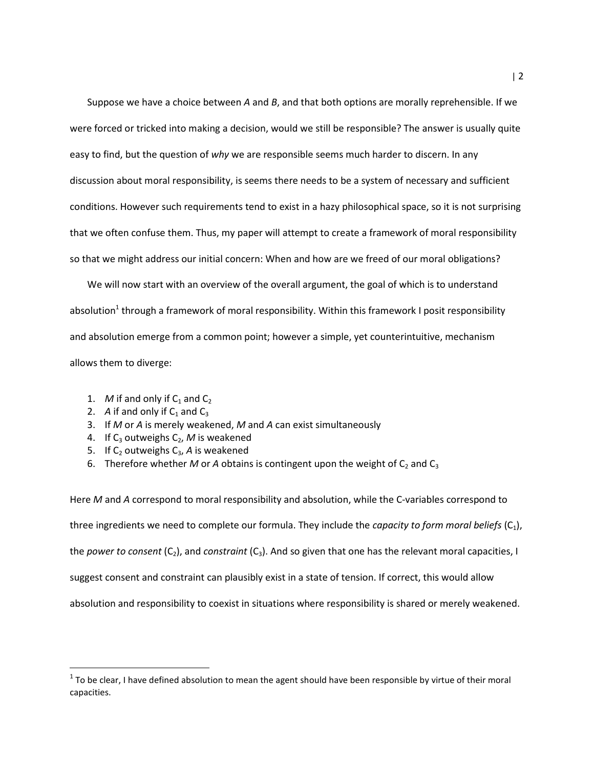Suppose we have a choice between  $A$  and  $B$ , and that both options are morally reprehensible. If we were forced or tricked into making a decision, would we still be responsible? The answer is usually quite easy to find, but the question of why we are responsible seems much harder to discern. In any discussion about moral responsibility, is seems there needs to be a system of necessary and sufficient conditions. However such requirements tend to exist in a hazy philosophical space, so it is not surprising that we often confuse them. Thus, my paper will attempt to create a framework of moral responsibility so that we might address our initial concern: When and how are we freed of our moral obligations?

We will now start with an overview of the overall argument, the goal of which is to understand absolution<sup>1</sup> through a framework of moral responsibility. Within this framework I posit responsibility and absolution emerge from a common point; however a simple, yet counterintuitive, mechanism allows them to diverge:

- 1. M if and only if  $C_1$  and  $C_2$
- 2. A if and only if  $C_1$  and  $C_3$

l

- 3. If M or A is merely weakened, M and A can exist simultaneously
- 4. If  $C_3$  outweighs  $C_2$ , M is weakened
- 5. If  $C_2$  outweighs  $C_3$ , A is weakened
- 6. Therefore whether M or A obtains is contingent upon the weight of  $C_2$  and  $C_3$

Here M and A correspond to moral responsibility and absolution, while the C-variables correspond to three ingredients we need to complete our formula. They include the *capacity to form moral beliefs*  $(C_1)$ , the power to consent  $(C_2)$ , and constraint  $(C_3)$ . And so given that one has the relevant moral capacities, I suggest consent and constraint can plausibly exist in a state of tension. If correct, this would allow absolution and responsibility to coexist in situations where responsibility is shared or merely weakened.

 $^1$  To be clear, I have defined absolution to mean the agent should have been responsible by virtue of their moral capacities.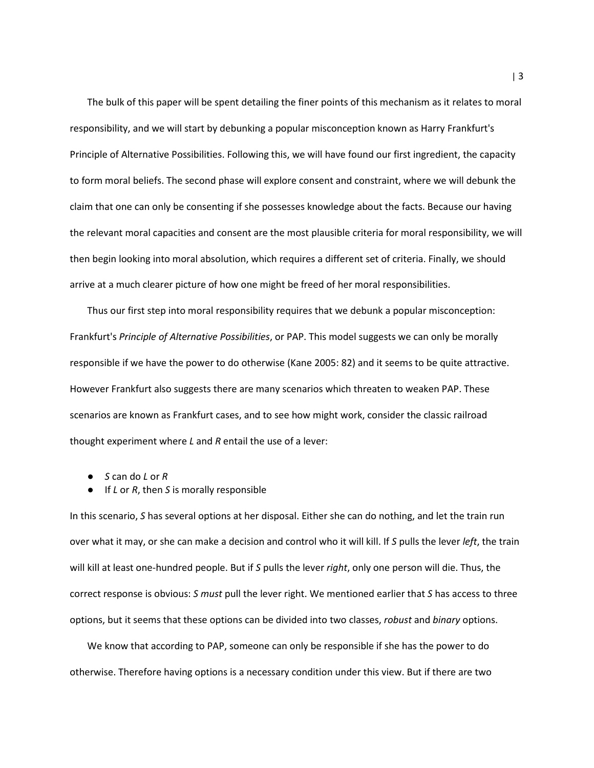The bulk of this paper will be spent detailing the finer points of this mechanism as it relates to moral responsibility, and we will start by debunking a popular misconception known as Harry Frankfurt's Principle of Alternative Possibilities. Following this, we will have found our first ingredient, the capacity to form moral beliefs. The second phase will explore consent and constraint, where we will debunk the claim that one can only be consenting if she possesses knowledge about the facts. Because our having the relevant moral capacities and consent are the most plausible criteria for moral responsibility, we will then begin looking into moral absolution, which requires a different set of criteria. Finally, we should arrive at a much clearer picture of how one might be freed of her moral responsibilities.

Thus our first step into moral responsibility requires that we debunk a popular misconception: Frankfurt's Principle of Alternative Possibilities, or PAP. This model suggests we can only be morally responsible if we have the power to do otherwise (Kane 2005: 82) and it seems to be quite attractive. However Frankfurt also suggests there are many scenarios which threaten to weaken PAP. These scenarios are known as Frankfurt cases, and to see how might work, consider the classic railroad thought experiment where  $L$  and  $R$  entail the use of a lever:

- $\bullet$  S can do L or R
- $\bullet$  If *L* or *R*, then *S* is morally responsible

In this scenario, S has several options at her disposal. Either she can do nothing, and let the train run over what it may, or she can make a decision and control who it will kill. If S pulls the lever *left*, the train will kill at least one-hundred people. But if S pulls the lever right, only one person will die. Thus, the correct response is obvious: S must pull the lever right. We mentioned earlier that S has access to three options, but it seems that these options can be divided into two classes, robust and binary options.

We know that according to PAP, someone can only be responsible if she has the power to do otherwise. Therefore having options is a necessary condition under this view. But if there are two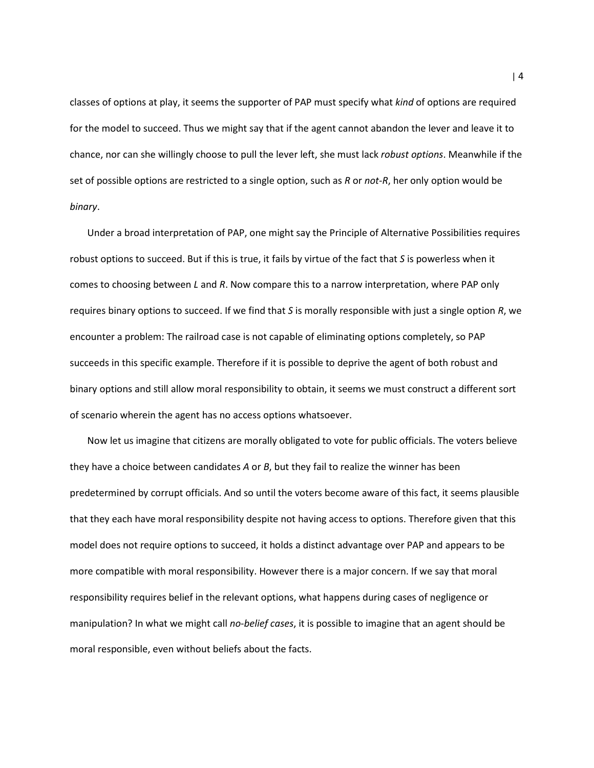classes of options at play, it seems the supporter of PAP must specify what kind of options are required for the model to succeed. Thus we might say that if the agent cannot abandon the lever and leave it to chance, nor can she willingly choose to pull the lever left, she must lack robust options. Meanwhile if the set of possible options are restricted to a single option, such as  $R$  or not- $R$ , her only option would be binary.

Under a broad interpretation of PAP, one might say the Principle of Alternative Possibilities requires robust options to succeed. But if this is true, it fails by virtue of the fact that S is powerless when it comes to choosing between L and R. Now compare this to a narrow interpretation, where PAP only requires binary options to succeed. If we find that S is morally responsible with just a single option R, we encounter a problem: The railroad case is not capable of eliminating options completely, so PAP succeeds in this specific example. Therefore if it is possible to deprive the agent of both robust and binary options and still allow moral responsibility to obtain, it seems we must construct a different sort of scenario wherein the agent has no access options whatsoever.

Now let us imagine that citizens are morally obligated to vote for public officials. The voters believe they have a choice between candidates  $A$  or  $B$ , but they fail to realize the winner has been predetermined by corrupt officials. And so until the voters become aware of this fact, it seems plausible that they each have moral responsibility despite not having access to options. Therefore given that this model does not require options to succeed, it holds a distinct advantage over PAP and appears to be more compatible with moral responsibility. However there is a major concern. If we say that moral responsibility requires belief in the relevant options, what happens during cases of negligence or manipulation? In what we might call no-belief cases, it is possible to imagine that an agent should be moral responsible, even without beliefs about the facts.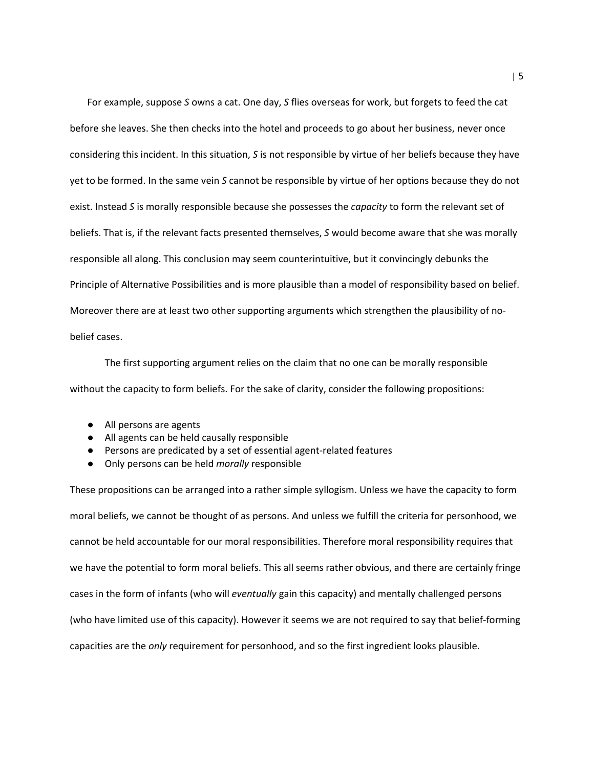For example, suppose S owns a cat. One day, S flies overseas for work, but forgets to feed the cat before she leaves. She then checks into the hotel and proceeds to go about her business, never once considering this incident. In this situation, S is not responsible by virtue of her beliefs because they have yet to be formed. In the same vein S cannot be responsible by virtue of her options because they do not exist. Instead S is morally responsible because she possesses the *capacity* to form the relevant set of beliefs. That is, if the relevant facts presented themselves, S would become aware that she was morally responsible all along. This conclusion may seem counterintuitive, but it convincingly debunks the Principle of Alternative Possibilities and is more plausible than a model of responsibility based on belief. Moreover there are at least two other supporting arguments which strengthen the plausibility of nobelief cases.

 The first supporting argument relies on the claim that no one can be morally responsible without the capacity to form beliefs. For the sake of clarity, consider the following propositions:

- All persons are agents
- All agents can be held causally responsible
- Persons are predicated by a set of essential agent-related features
- Only persons can be held morally responsible

These propositions can be arranged into a rather simple syllogism. Unless we have the capacity to form moral beliefs, we cannot be thought of as persons. And unless we fulfill the criteria for personhood, we cannot be held accountable for our moral responsibilities. Therefore moral responsibility requires that we have the potential to form moral beliefs. This all seems rather obvious, and there are certainly fringe cases in the form of infants (who will eventually gain this capacity) and mentally challenged persons (who have limited use of this capacity). However it seems we are not required to say that belief-forming capacities are the only requirement for personhood, and so the first ingredient looks plausible.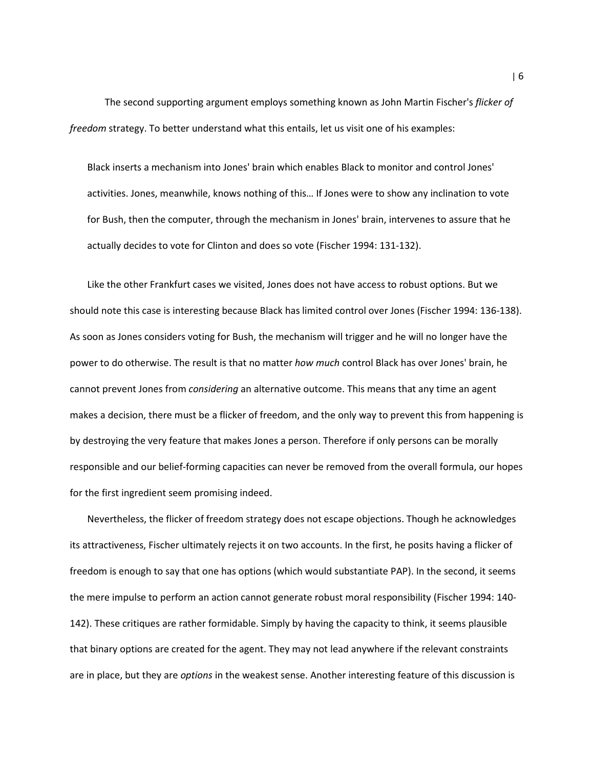The second supporting argument employs something known as John Martin Fischer's flicker of freedom strategy. To better understand what this entails, let us visit one of his examples:

Black inserts a mechanism into Jones' brain which enables Black to monitor and control Jones' activities. Jones, meanwhile, knows nothing of this… If Jones were to show any inclination to vote for Bush, then the computer, through the mechanism in Jones' brain, intervenes to assure that he actually decides to vote for Clinton and does so vote (Fischer 1994: 131-132).

Like the other Frankfurt cases we visited, Jones does not have access to robust options. But we should note this case is interesting because Black has limited control over Jones (Fischer 1994: 136-138). As soon as Jones considers voting for Bush, the mechanism will trigger and he will no longer have the power to do otherwise. The result is that no matter how much control Black has over Jones' brain, he cannot prevent Jones from *considering* an alternative outcome. This means that any time an agent makes a decision, there must be a flicker of freedom, and the only way to prevent this from happening is by destroying the very feature that makes Jones a person. Therefore if only persons can be morally responsible and our belief-forming capacities can never be removed from the overall formula, our hopes for the first ingredient seem promising indeed.

Nevertheless, the flicker of freedom strategy does not escape objections. Though he acknowledges its attractiveness, Fischer ultimately rejects it on two accounts. In the first, he posits having a flicker of freedom is enough to say that one has options (which would substantiate PAP). In the second, it seems the mere impulse to perform an action cannot generate robust moral responsibility (Fischer 1994: 140- 142). These critiques are rather formidable. Simply by having the capacity to think, it seems plausible that binary options are created for the agent. They may not lead anywhere if the relevant constraints are in place, but they are *options* in the weakest sense. Another interesting feature of this discussion is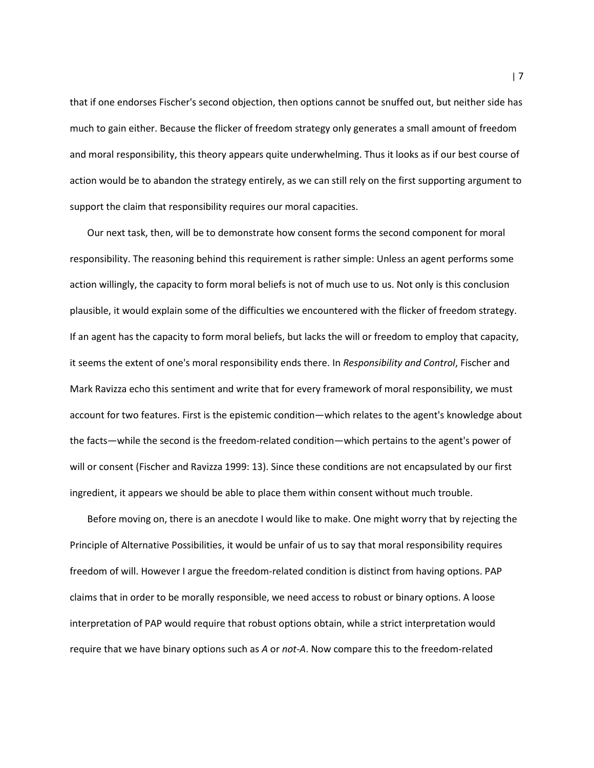that if one endorses Fischer's second objection, then options cannot be snuffed out, but neither side has much to gain either. Because the flicker of freedom strategy only generates a small amount of freedom and moral responsibility, this theory appears quite underwhelming. Thus it looks as if our best course of action would be to abandon the strategy entirely, as we can still rely on the first supporting argument to support the claim that responsibility requires our moral capacities.

Our next task, then, will be to demonstrate how consent forms the second component for moral responsibility. The reasoning behind this requirement is rather simple: Unless an agent performs some action willingly, the capacity to form moral beliefs is not of much use to us. Not only is this conclusion plausible, it would explain some of the difficulties we encountered with the flicker of freedom strategy. If an agent has the capacity to form moral beliefs, but lacks the will or freedom to employ that capacity, it seems the extent of one's moral responsibility ends there. In Responsibility and Control, Fischer and Mark Ravizza echo this sentiment and write that for every framework of moral responsibility, we must account for two features. First is the epistemic condition—which relates to the agent's knowledge about the facts—while the second is the freedom-related condition—which pertains to the agent's power of will or consent (Fischer and Ravizza 1999: 13). Since these conditions are not encapsulated by our first ingredient, it appears we should be able to place them within consent without much trouble.

Before moving on, there is an anecdote I would like to make. One might worry that by rejecting the Principle of Alternative Possibilities, it would be unfair of us to say that moral responsibility requires freedom of will. However I argue the freedom-related condition is distinct from having options. PAP claims that in order to be morally responsible, we need access to robust or binary options. A loose interpretation of PAP would require that robust options obtain, while a strict interpretation would require that we have binary options such as A or not-A. Now compare this to the freedom-related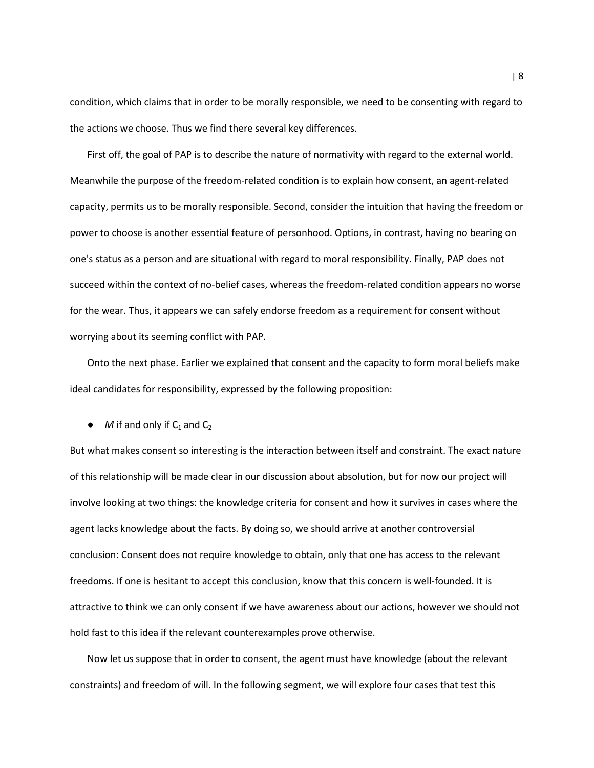condition, which claims that in order to be morally responsible, we need to be consenting with regard to the actions we choose. Thus we find there several key differences.

First off, the goal of PAP is to describe the nature of normativity with regard to the external world. Meanwhile the purpose of the freedom-related condition is to explain how consent, an agent-related capacity, permits us to be morally responsible. Second, consider the intuition that having the freedom or power to choose is another essential feature of personhood. Options, in contrast, having no bearing on one's status as a person and are situational with regard to moral responsibility. Finally, PAP does not succeed within the context of no-belief cases, whereas the freedom-related condition appears no worse for the wear. Thus, it appears we can safely endorse freedom as a requirement for consent without worrying about its seeming conflict with PAP.

Onto the next phase. Earlier we explained that consent and the capacity to form moral beliefs make ideal candidates for responsibility, expressed by the following proposition:

 $\bullet$  *M* if and only if C<sub>1</sub> and C<sub>2</sub>

But what makes consent so interesting is the interaction between itself and constraint. The exact nature of this relationship will be made clear in our discussion about absolution, but for now our project will involve looking at two things: the knowledge criteria for consent and how it survives in cases where the agent lacks knowledge about the facts. By doing so, we should arrive at another controversial conclusion: Consent does not require knowledge to obtain, only that one has access to the relevant freedoms. If one is hesitant to accept this conclusion, know that this concern is well-founded. It is attractive to think we can only consent if we have awareness about our actions, however we should not hold fast to this idea if the relevant counterexamples prove otherwise.

Now let us suppose that in order to consent, the agent must have knowledge (about the relevant constraints) and freedom of will. In the following segment, we will explore four cases that test this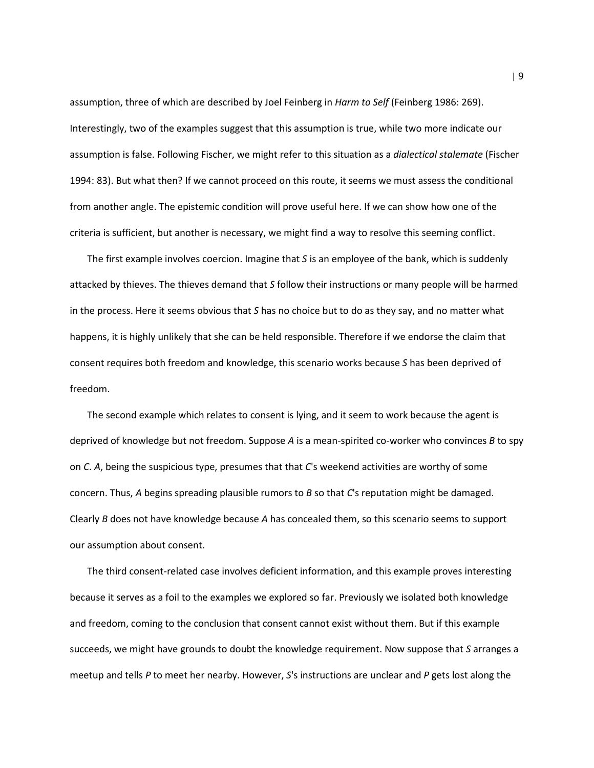assumption, three of which are described by Joel Feinberg in Harm to Self (Feinberg 1986: 269). Interestingly, two of the examples suggest that this assumption is true, while two more indicate our assumption is false. Following Fischer, we might refer to this situation as a dialectical stalemate (Fischer 1994: 83). But what then? If we cannot proceed on this route, it seems we must assess the conditional from another angle. The epistemic condition will prove useful here. If we can show how one of the criteria is sufficient, but another is necessary, we might find a way to resolve this seeming conflict.

The first example involves coercion. Imagine that S is an employee of the bank, which is suddenly attacked by thieves. The thieves demand that S follow their instructions or many people will be harmed in the process. Here it seems obvious that S has no choice but to do as they say, and no matter what happens, it is highly unlikely that she can be held responsible. Therefore if we endorse the claim that consent requires both freedom and knowledge, this scenario works because S has been deprived of freedom.

The second example which relates to consent is lying, and it seem to work because the agent is deprived of knowledge but not freedom. Suppose  $A$  is a mean-spirited co-worker who convinces  $B$  to spy on C. A, being the suspicious type, presumes that that C's weekend activities are worthy of some concern. Thus, A begins spreading plausible rumors to  $B$  so that  $C$ 's reputation might be damaged. Clearly B does not have knowledge because A has concealed them, so this scenario seems to support our assumption about consent.

The third consent-related case involves deficient information, and this example proves interesting because it serves as a foil to the examples we explored so far. Previously we isolated both knowledge and freedom, coming to the conclusion that consent cannot exist without them. But if this example succeeds, we might have grounds to doubt the knowledge requirement. Now suppose that S arranges a meetup and tells P to meet her nearby. However,  $S$ 's instructions are unclear and P gets lost along the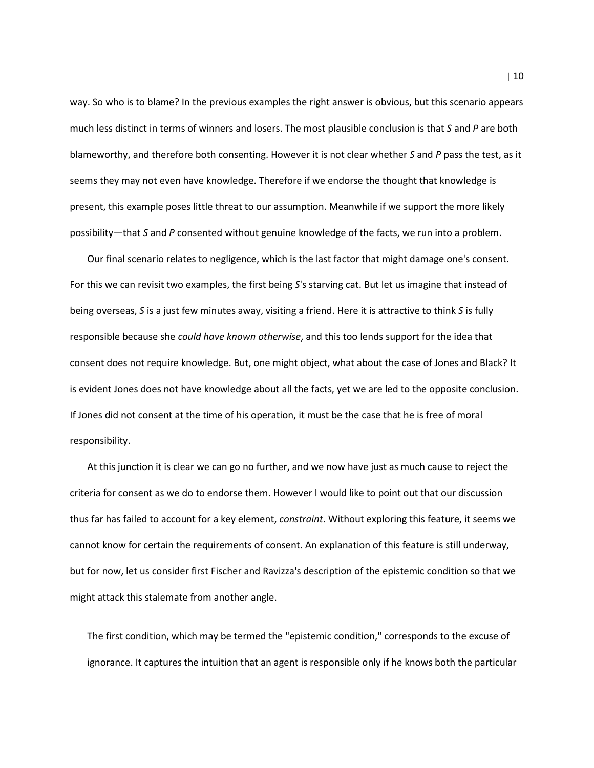way. So who is to blame? In the previous examples the right answer is obvious, but this scenario appears much less distinct in terms of winners and losers. The most plausible conclusion is that S and P are both blameworthy, and therefore both consenting. However it is not clear whether S and P pass the test, as it seems they may not even have knowledge. Therefore if we endorse the thought that knowledge is present, this example poses little threat to our assumption. Meanwhile if we support the more likely possibility—that S and P consented without genuine knowledge of the facts, we run into a problem.

Our final scenario relates to negligence, which is the last factor that might damage one's consent. For this we can revisit two examples, the first being S's starving cat. But let us imagine that instead of being overseas, S is a just few minutes away, visiting a friend. Here it is attractive to think S is fully responsible because she could have known otherwise, and this too lends support for the idea that consent does not require knowledge. But, one might object, what about the case of Jones and Black? It is evident Jones does not have knowledge about all the facts, yet we are led to the opposite conclusion. If Jones did not consent at the time of his operation, it must be the case that he is free of moral responsibility.

At this junction it is clear we can go no further, and we now have just as much cause to reject the criteria for consent as we do to endorse them. However I would like to point out that our discussion thus far has failed to account for a key element, *constraint*. Without exploring this feature, it seems we cannot know for certain the requirements of consent. An explanation of this feature is still underway, but for now, let us consider first Fischer and Ravizza's description of the epistemic condition so that we might attack this stalemate from another angle.

The first condition, which may be termed the "epistemic condition," corresponds to the excuse of ignorance. It captures the intuition that an agent is responsible only if he knows both the particular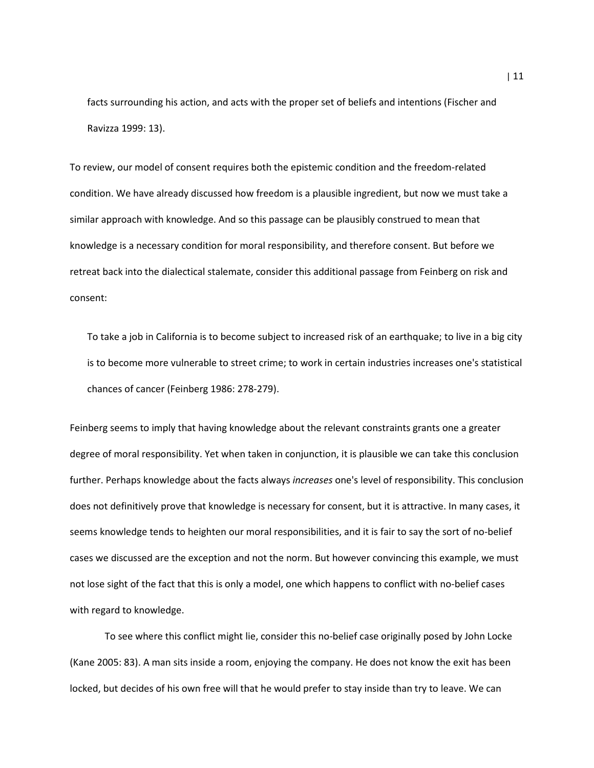facts surrounding his action, and acts with the proper set of beliefs and intentions (Fischer and Ravizza 1999: 13).

To review, our model of consent requires both the epistemic condition and the freedom-related condition. We have already discussed how freedom is a plausible ingredient, but now we must take a similar approach with knowledge. And so this passage can be plausibly construed to mean that knowledge is a necessary condition for moral responsibility, and therefore consent. But before we retreat back into the dialectical stalemate, consider this additional passage from Feinberg on risk and consent:

To take a job in California is to become subject to increased risk of an earthquake; to live in a big city is to become more vulnerable to street crime; to work in certain industries increases one's statistical chances of cancer (Feinberg 1986: 278-279).

Feinberg seems to imply that having knowledge about the relevant constraints grants one a greater degree of moral responsibility. Yet when taken in conjunction, it is plausible we can take this conclusion further. Perhaps knowledge about the facts always increases one's level of responsibility. This conclusion does not definitively prove that knowledge is necessary for consent, but it is attractive. In many cases, it seems knowledge tends to heighten our moral responsibilities, and it is fair to say the sort of no-belief cases we discussed are the exception and not the norm. But however convincing this example, we must not lose sight of the fact that this is only a model, one which happens to conflict with no-belief cases with regard to knowledge.

 To see where this conflict might lie, consider this no-belief case originally posed by John Locke (Kane 2005: 83). A man sits inside a room, enjoying the company. He does not know the exit has been locked, but decides of his own free will that he would prefer to stay inside than try to leave. We can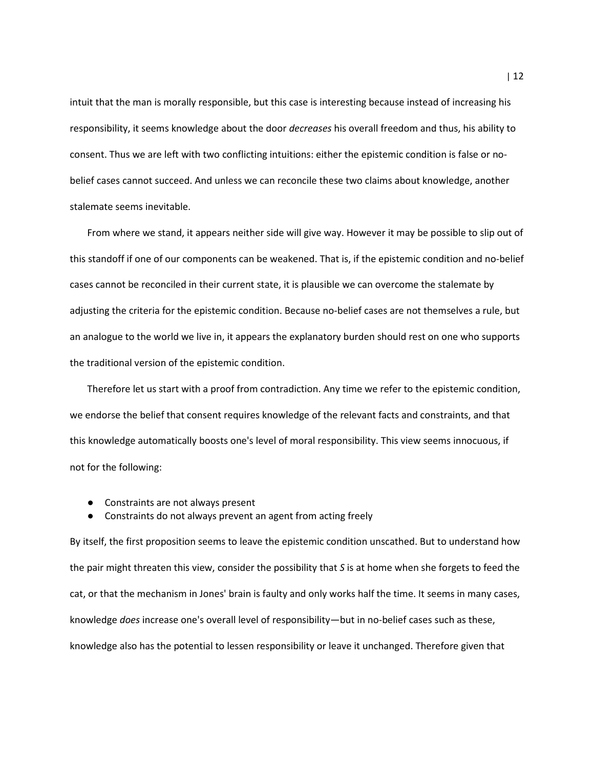intuit that the man is morally responsible, but this case is interesting because instead of increasing his responsibility, it seems knowledge about the door *decreases* his overall freedom and thus, his ability to consent. Thus we are left with two conflicting intuitions: either the epistemic condition is false or nobelief cases cannot succeed. And unless we can reconcile these two claims about knowledge, another stalemate seems inevitable.

From where we stand, it appears neither side will give way. However it may be possible to slip out of this standoff if one of our components can be weakened. That is, if the epistemic condition and no-belief cases cannot be reconciled in their current state, it is plausible we can overcome the stalemate by adjusting the criteria for the epistemic condition. Because no-belief cases are not themselves a rule, but an analogue to the world we live in, it appears the explanatory burden should rest on one who supports the traditional version of the epistemic condition.

Therefore let us start with a proof from contradiction. Any time we refer to the epistemic condition, we endorse the belief that consent requires knowledge of the relevant facts and constraints, and that this knowledge automatically boosts one's level of moral responsibility. This view seems innocuous, if not for the following:

- Constraints are not always present
- Constraints do not always prevent an agent from acting freely

By itself, the first proposition seems to leave the epistemic condition unscathed. But to understand how the pair might threaten this view, consider the possibility that S is at home when she forgets to feed the cat, or that the mechanism in Jones' brain is faulty and only works half the time. It seems in many cases, knowledge does increase one's overall level of responsibility—but in no-belief cases such as these, knowledge also has the potential to lessen responsibility or leave it unchanged. Therefore given that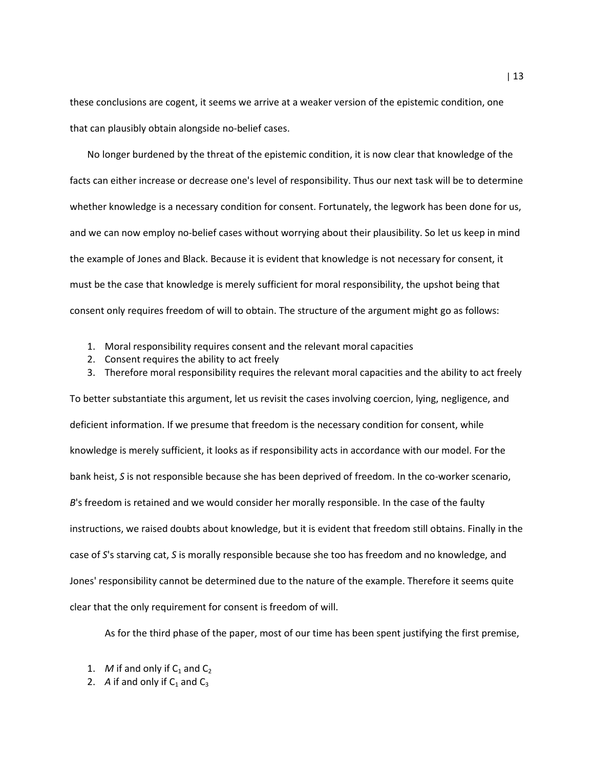these conclusions are cogent, it seems we arrive at a weaker version of the epistemic condition, one that can plausibly obtain alongside no-belief cases.

No longer burdened by the threat of the epistemic condition, it is now clear that knowledge of the facts can either increase or decrease one's level of responsibility. Thus our next task will be to determine whether knowledge is a necessary condition for consent. Fortunately, the legwork has been done for us, and we can now employ no-belief cases without worrying about their plausibility. So let us keep in mind the example of Jones and Black. Because it is evident that knowledge is not necessary for consent, it must be the case that knowledge is merely sufficient for moral responsibility, the upshot being that consent only requires freedom of will to obtain. The structure of the argument might go as follows:

- 1. Moral responsibility requires consent and the relevant moral capacities
- 2. Consent requires the ability to act freely
- 3. Therefore moral responsibility requires the relevant moral capacities and the ability to act freely

To better substantiate this argument, let us revisit the cases involving coercion, lying, negligence, and deficient information. If we presume that freedom is the necessary condition for consent, while knowledge is merely sufficient, it looks as if responsibility acts in accordance with our model. For the bank heist, S is not responsible because she has been deprived of freedom. In the co-worker scenario, B's freedom is retained and we would consider her morally responsible. In the case of the faulty instructions, we raised doubts about knowledge, but it is evident that freedom still obtains. Finally in the case of S's starving cat, S is morally responsible because she too has freedom and no knowledge, and Jones' responsibility cannot be determined due to the nature of the example. Therefore it seems quite clear that the only requirement for consent is freedom of will.

As for the third phase of the paper, most of our time has been spent justifying the first premise,

- 1. M if and only if  $C_1$  and  $C_2$
- 2. A if and only if  $C_1$  and  $C_3$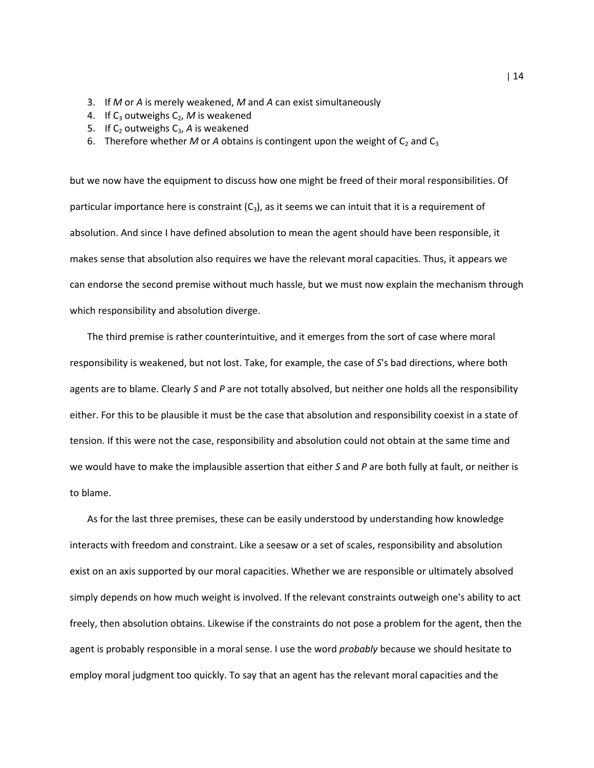- 3. If M or A is merely weakened, M and A can exist simultaneously
- 4. If  $C_3$  outweighs  $C_2$ , M is weakened
- 5. If  $C_2$  outweighs  $C_3$ , A is weakened
- 6. Therefore whether M or A obtains is contingent upon the weight of  $C_2$  and  $C_3$

but we now have the equipment to discuss how one might be freed of their moral responsibilities. Of particular importance here is constraint  $(C_3)$ , as it seems we can intuit that it is a requirement of absolution. And since I have defined absolution to mean the agent should have been responsible, it makes sense that absolution also requires we have the relevant moral capacities. Thus, it appears we can endorse the second premise without much hassle, but we must now explain the mechanism through which responsibility and absolution diverge.

The third premise is rather counterintuitive, and it emerges from the sort of case where moral responsibility is weakened, but not lost. Take, for example, the case of S's bad directions, where both agents are to blame. Clearly S and P are not totally absolved, but neither one holds all the responsibility either. For this to be plausible it must be the case that absolution and responsibility coexist in a state of tension. If this were not the case, responsibility and absolution could not obtain at the same time and we would have to make the implausible assertion that either  $S$  and  $P$  are both fully at fault, or neither is to blame.

As for the last three premises, these can be easily understood by understanding how knowledge interacts with freedom and constraint. Like a seesaw or a set of scales, responsibility and absolution exist on an axis supported by our moral capacities. Whether we are responsible or ultimately absolved simply depends on how much weight is involved. If the relevant constraints outweigh one's ability to act freely, then absolution obtains. Likewise if the constraints do not pose a problem for the agent, then the agent is probably responsible in a moral sense. I use the word *probably* because we should hesitate to employ moral judgment too quickly. To say that an agent has the relevant moral capacities and the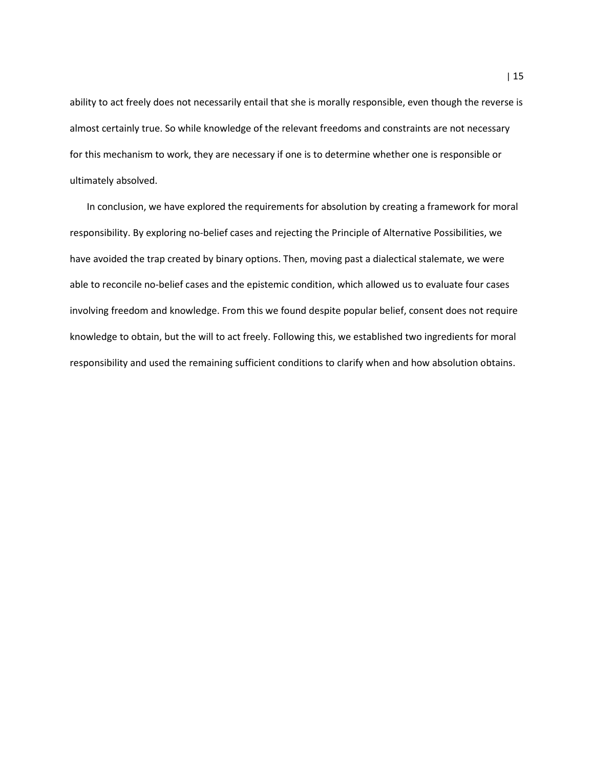ability to act freely does not necessarily entail that she is morally responsible, even though the reverse is almost certainly true. So while knowledge of the relevant freedoms and constraints are not necessary for this mechanism to work, they are necessary if one is to determine whether one is responsible or ultimately absolved.

 In conclusion, we have explored the requirements for absolution by creating a framework for moral responsibility. By exploring no-belief cases and rejecting the Principle of Alternative Possibilities, we have avoided the trap created by binary options. Then, moving past a dialectical stalemate, we were able to reconcile no-belief cases and the epistemic condition, which allowed us to evaluate four cases involving freedom and knowledge. From this we found despite popular belief, consent does not require knowledge to obtain, but the will to act freely. Following this, we established two ingredients for moral responsibility and used the remaining sufficient conditions to clarify when and how absolution obtains.